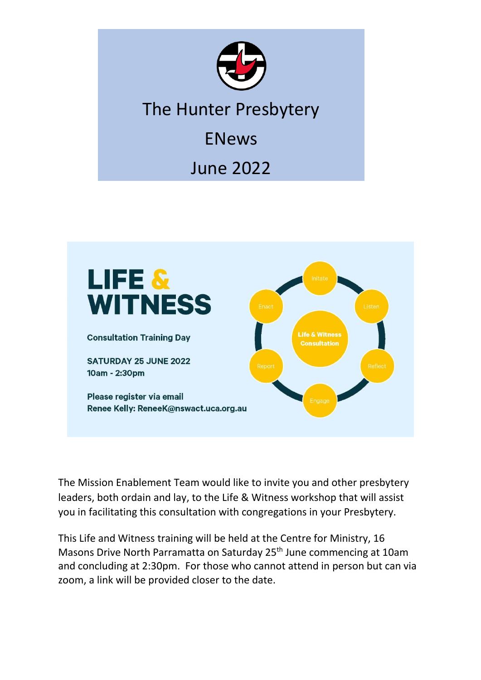

## The Hunter Presbytery

ENews

June 2022



The Mission Enablement Team would like to invite you and other presbytery leaders, both ordain and lay, to the Life & Witness workshop that will assist you in facilitating this consultation with congregations in your Presbytery.

This Life and Witness training will be held at the Centre for Ministry, 16 Masons Drive North Parramatta on Saturday 25<sup>th</sup> June commencing at 10am and concluding at 2:30pm. For those who cannot attend in person but can via zoom, a link will be provided closer to the date.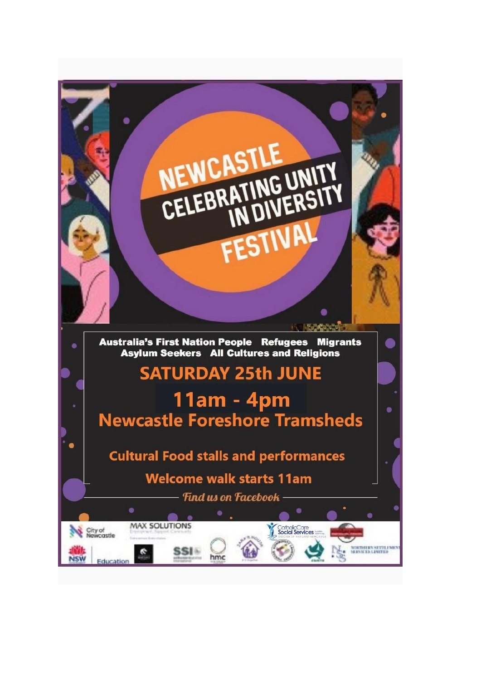